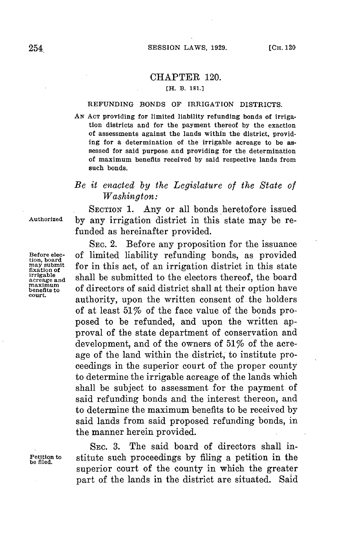## CHAPTER 120.

## **[H. B. 181.]**

## REFUNDING **BONDS** OF IRRIGATION DISTRICTS.

**AN ACT** providing for limited liability refunding bonds of irrigation districts and for the payment thereof **by** the exaction of assessments against the lands within the district, providing for a determination of the irrigable acreage to be assessed for said purpose and providing for the determination of maximum benefits received **by** said respective lands from such bonds.

## *Be it enacted by the Legislature of the State of Washington:*

**SECTION 1.** Any or all bonds heretofore issued **Authorized by** any irrigation district in this state may be refunded as hereinafter provided.

**SEC.** 2. Before any proposition for the issuance **Before** elec- of limited liability refunding bonds, as provided **tion, board** may submit **for in this act, of an irrigation district in this state** *may* submit<br>*irrigable shall* he submitted to the electors thereof, the beard *E* irrigable<br>
acreage and shall be submitted to the electors thereof, the board<br>
benefits to of directors of said district shall at their option have benefits to of directors of said district shall at their option have court.<br>court. authority, upon the written consent of the holders of at least 517o of the face value of the bonds proposed to be refunded, and upon the written approval of the state department of conservation and development, and of the owners of  $51\%$  of the acreage of the land within the district, to institute proceedings in the superior court of the proper county to determine the irrigable acreage of the lands which shall be subject to assessment for the payment of said refunding bonds and the interest thereon, and to determine the maximum benefits to be received **by** said lands from said proposed refunding bonds, in the manner herein provided.

SEC. **3.** The said board of directors shall in-**Petition to** stitute such proceedings **by** filing a petition in the **be filed.** superior court of the county in which the greater part of the lands in the district are situated. Said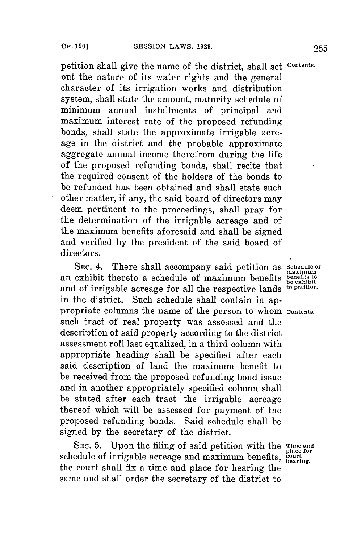petition shall give the name of the district, shall set **Contents.** out the nature of its water rights and the general character of its irrigation works and distribution system, shall state the amount, maturity schedule of minimum annual installments of principal and maximum interest rate of the proposed refunding bonds, shall state the approximate irrigable acreage in the district and the probable approximate aggregate annual income therefrom during the life of the proposed refunding bonds, shall recite that the required consent of the holders of the bonds to be refunded has been obtained and shall state such other matter, if any, the said board of directors may deem pertinent to the proceedings, shall pray for the determination of the irrigable acreage and of the maximum benefits aforesaid and shall be signed and verified **by** the president of the said board of directors.

**SEC.** 4. There shall accompany said petition as **Schedule of maximum**<br>an exhibit thereto a schedule of maximum benefits benefits to benefit thereto a schedule of maximum benefits benefits and of irrigable acreage for all the respective lands **to petition.** in the district. Such schedule shall contain in appropriate columns the name of the person to whom **Contents.** such tract of real property was assessed and the description of said property according to the district assessment roll last equalized, in a third column with appropriate heading shall be specified after each said description of land the maximum benefit to be received from the proposed refunding bond issue and in another appropriately specified column shall be stated after each tract the irrigable acreage thereof which will be assessed for payment of the proposed refunding bonds. Said schedule shall be signed **by** the secretary of the district.

**SEc. 5.** Upon the filing of said petition with the **Time and place for** schedule of irrigable acreage and maximum benefits, court the court shall fix a time and place for hearing the same and shall order the secretary of the district to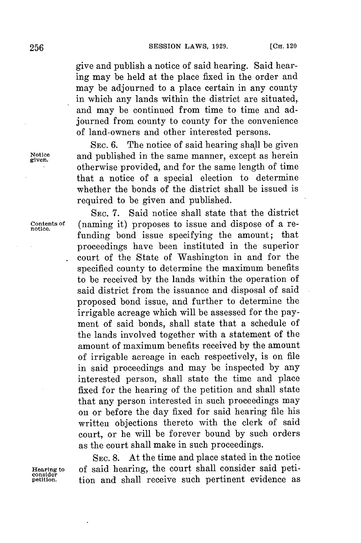give and publish a notice of said hearing. Said hearing may be held at the place fixed in the order and may be adjourned to a place certain in any county in which any lands within the district are situated, and may be continued from time to time and adjourned from county to county for the convenience of land-owners and other interested persons.

**SEC. 6.** The notice of said hearing shall be given Notice and published in the same manner, except as herein otherwise provided, and for the same length of time that a notice of a special election to determine whether the bonds of the district shall be issued is required to be given and published.

**SEC. 7.** Said notice shall state that the district Contents of (naming it) proposes to issue and dispose of a refunding bond issue specifying the amount; that proceedings have been instituted in the superior court of the State of Washington in and for the specified county to determine the maximum benefits to be received **by** the lands within the operation of said district from the issuance and disposal of said proposed bond issue, and further to determine the irrigable acreage which will be assessed for the payment of said bonds, shall state that a schedule of the lands involved together with a statement of the amount of maximum benefits received **by** the amount of irrigable acreage in each respectively, is on file in said proceedings and may be inspected **by** any interested person, shall state the time and place fixed for the hearing of the petition and shall state that any person interested in such proceedings may on or before the day fixed for said hearing file his written objections thereto with the clerk of said court, or he will be forever bound **by** such orders as the court shall make in such proceedings.

SEC. **8.** At the time and place stated in the notice Hearing to of said hearing, the court shall consider said peti- consider tion and shall receive such pertinent evidence as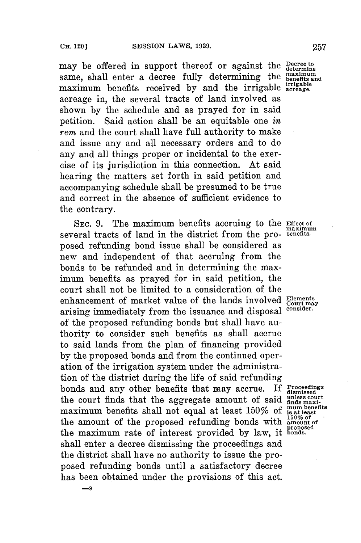may be offered in support thereof or against the **Decree to** same, shall enter a decree fully determining the **property** and same, shall enter a decree fully determining the maximum benefits received by and the irrigable acreage. acreage in, the several tracts of land involved as shown **by** the schedule and as prayed **for** in said petition. Said action shall be an equitable one *in rem* and the court shall have full authority to make and issue any and all necessary orders and to do any and all things proper or incidental to the exercise of its jurisdiction in this connection. At said hearing the matters set forth in said petition and accompanying schedule shall be presumed to be true and correct in the absence of sufficient evidence to the contrary.

**SEC. 9.** The maximum benefits accruing to the **Effect of** several tracts of land in the district from the pro- **benefits.** posed refunding bond issue shall be considered as new and independent of that accruing from the bonds to be refunded and in determining the maximum benefits as prayed for in said petition, the court shall not be limited to a consideration of the enhancement of market value of the lands involved **Elements**<br>carising immediately from the issuance and dispersed consider. arising immediately from the issuance and disposal **consider.** of the proposed refunding bonds but shall have authority to consider such benefits as shall accrue to said lands from the plan of financing provided **by** the proposed bonds and from the continued operation of the irrigation system under the administration of the district during the life of said refunding bonds and any other benefits that may accrue. If Proceedings the court finds that the aggregate amount of said indes next maximum benefits shall not equal at least 150% of  $\frac{\text{mump}_{\text{beam}}}{\text{log}\text{at}$ the court finds that the aggregate amount of said maximum benefits shall not equal at least  $150\%$  of **is at least**<br>the amount of the proposed refunding bonds with  $\frac{150\%}{\text{amount of}}$ the amount of the proposed refunding bonds with  $_{\text{anount}}^{\text{150% of}}$ **proposed** the maximum rate of interest provided **by** law, it **bonds.** shall enter a decree dismissing the proceedings and the district shall have no authority to issue the proposed refunding bonds until a satisfactory decree has been obtained under the provisions of this act.

**maximum**

**-9**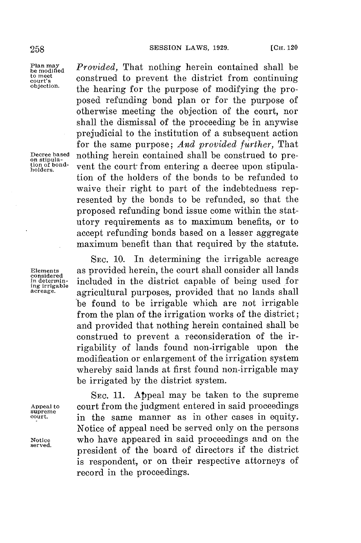**considered**<br>in determin-

**supreme**

Plan may<br>be modified *Provided*, That nothing herein contained shall be<br>construed to prevent the district from continuing **to meet court's** construed to prevent the district from continuing **objection,** the hearing for the purpose of modifying the proposed refunding bond plan or for the purpose of otherwise meeting the objection of the court, nor shall the dismissal of the proceeding be in anywise prejudicial to the institution of a subsequent action for the same purpose; *And provided further,* That Decree based nothing herein contained shall be construed to pre-<br>tion of bond-<br>tion of bond-<br> $\frac{1}{2}$  rent the court; from entering a decree upon stipulation of bond-<br>holders. **vent** the court from entering a decree upon stipulation of the holders of the bonds to **be** refunded to waive their right to part of the indebtedness represented **by** the bonds to be refunded, so that the proposed refunding bond issue come within the statutory requirements as to maximum benefits, or to accept refunding bonds based on a lesser aggregate maximum benefit than that required **by** the statute.

**SEC. 10.** In determining the irrigable acreage **Elements** as provided herein, the court shall consider all lands **in determin-** included in the district capable of being used for **ing irrigable** agricultural purposes, provided that no lands shall be found to **be** irrigable which are not irrigable from the plan of the irrigation works of the district; and provided that nothing herein contained shall **be** construed to prevent a reconsideration of the irrigability of lands found non-irrigable upon the modification or enlargement of the irrigation system whereby said lands at first found non-irrigable may be irrigated **by** the district system.

**SEC. 11.** Appeal may be taken to the supreme **Appeal to** court from the judgment entered in said proceedings in the same manner as in other cases in equity. Notice of appeal need be served only on the persons Notice who have appeared in said proceedings and on the served. president of the board of directors if the district is respondent, or on their respective attorneys of record in the proceedings.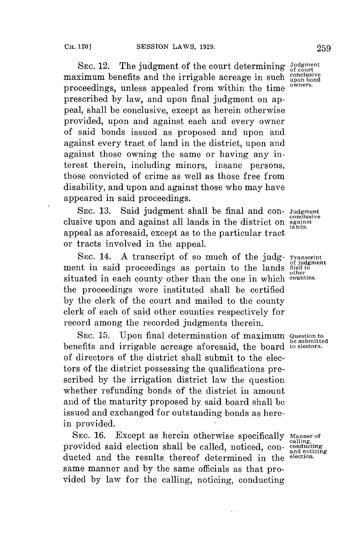SEC. 12. The judgment of the court determining Judgment ximum benefits and the irrigable acreage in such conclusive maximum benefits and the irrigable acreage in such  $_{\text{open}}^{\text{conclus}}$ proceedings, unless appealed from within the time prescribed **by** law, and upon final judgment on appeal, shall be conclusive, except as herein otherwise provided, upon and against each and every owner of said bonds issued as proposed and upon and against every tract of land in the district, upon and against those owning the same or having any interest therein, including minors, insane persons, those convicted of crime as well as those free from disability, and upon and against those who may have appeared in said proceedings.

**SEC. 13.** Said judgment shall be final and con- **Judgment** conclusive clusive upon and against all lands in the district on **against** appeal as aforesaid, except as to the particular tract or tracts involved in the appeal.

**SEC.** 14. **A** transcript of so much of the **judg- Transcript** ment in said proceedings as pertain to the lands **filed** in situated in each county other than the one in which **counties.** the proceedings were instituted shall be certified **by** the clerk of the court and mailed to the county clerk of each of said other counties respectively for record among the recorded judgments therein.

SEC. 15. Upon final determination of maximum benefits and irrigable acreage aforesaid, the board of directors of the district shall submit to the electors of the district possessing the qualifications prescribed **by** the irrigation district law the question whether refunding bonds of the district in amount and of the maturity proposed **by** said board shall **be** issued and exchanged **for** outstanding bonds as herein provided.

SEC. 16. Except as herein otherwise specifically Manner of calling,<br>covided said election shall be called noticed con-conducting provided said election shall be called, noticed, con- **conducting**<br>ducted and the results thereof determined in the election. ducted and the results thereof determined in the same manner and **by** the same officials as that provided **by** law for the calling, noticing, conducting

**lands.**

**other**

**be submitted**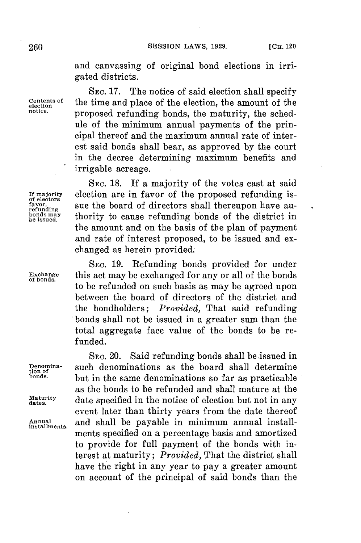and canvassing of original bond elections in irrigated districts.

**SEC. 17.** The notice of said election shall specify **of** the time and place of the election, the amount of the proposed refunding bonds, the maturity, the schedule of the minimum annual payments of the principal thereof and the maximum annual rate of interest said bonds shall bear, as approved **by** the court in the decree determining maximum benefits and irrigable acreage.

**SEC. 18.** If a majority of the votes cast at said If majority election are in favor of the proposed refunding is-<br>
favor. Sue the board of directors shall thereupon have au**favor, and Supering the superior shall thereupon have au-**<br> **bonds** may the the board of directors shall thereupon have au-<br> **be** issued. **ben s may** thority to cause refunding bonds of the district in the amount and on the basis of the plan of payment and rate of interest proposed, to be issued and exchanged as herein provided.

**SEc. 19.** Refunding bonds provided for under **Exchange** this act may be exchanged **for** any or all of the bonds **of bonds.** to be refunded on such basis as may be agreed upon between the board of directors of the district and the bondholders; *Provided,* That said refunding bonds shall not be issued in a greater sum than the total aggregate face value of the bonds to be refunded.

**SEC.** 20. Said refunding bonds shall be issued in Denomina-<br>tion of **the same denominations** as the board shall determine **bonds**. **bonds.** but in the same denominations so far as practicable as the bonds to be refunded and shall mature at the Maturity date specified in the notice of election but not in any event later than thirty years from the date thereof **Annual** and shall be payable in minimum annual install- **installments.** ments specified on a percentage basis and amortized to provide for full payment of the bonds with interest at maturity; *Provided,* That the district shall have the right in any year to **pay** a greater amount on account of the principal of said bonds than the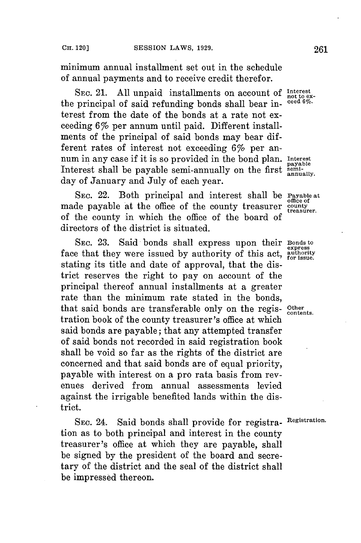minimum annual installment set out in the schedule of annual payments and to receive credit therefor.

**SEC.** 21. **All** unpaid installments on account of **Interst** the principal of said refunding bonds shall bear interest from the date of the bonds at a rate not exceeding 6% per annum until paid. Different installments of the principal of said bonds may bear different rates of interest not exceeding 6% per annum in any case if it is so provided in the bond plan. **Interest** payable Interest shall be payable semi-annually on the first **seni-ay** day of January and July of each year.

**SEC.** 22. Both principal and interest shall be **Payable at** made payable at the office of the county treasurer county of the county in which the office of the board of directors of the district is situated.

**SEC. 23.** Said bonds shall express upon their **Bonds to express** face that they were issued by authority of this act, authority stating its title and date of approval, that the district reserves the right to pay on account of the principal thereof annual installments at a greater rate than the minimum rate stated in the bonds, that said bonds are transferable only on the regis-  $\frac{\text{Other}}{\text{contents}}$ tration book of the county treasurer's office at which said bonds are payable; that any attempted transfer of said bonds not recorded in said registration book shall be void so far as the rights of the district are concerned and that said bonds are of equal priority, payable with interest on a pro rata basis from revenues derived from annual assessments levied against the irrigable benefited lands within the district.

**SEC.** 24. Said bonds shall provide for registra- **Registration.** tion as to both principal and interest in the county treasurer's office at which they are payable, shall be signed **by** the president of the board and secretary of the district and the seal of the district shall be impressed thereon.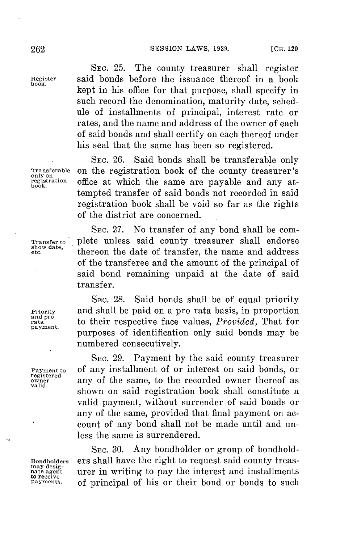**SEC. 25.** The county treasurer shall register **Register** said bonds before the issuance thereof in a book **book.** kept in his office for that purpose, shall specify in such record the denomination, maturity date, schedule of installments of principal, interest rate or rates, and the name and address of the owner of each of said bonds and shall certify on each thereof under his seal that the same has been so registered.

**SEc. 26.** Said bonds shall be transferable only **Transferable** on the registration book of the county treasurer's **only on registration** office at which the same are payable and any at- **book.** tempted transfer of said bonds not recorded in said registration book shall be void so far as the rights of the district are concerned.

SEC. **27.** No transfer of any bond shall be com-Transfer to plete unless said county treasurer shall endorse **show date, etc.** thereon the date of transfer, the name and address of the transferee and the amount of the principal of said bond remaining unpaid at the date of said transfer.

SEc. 28. Said bonds shall be of equal priority **Priority** and shall be paid on a pro rata basis, in proportion and pro<br>rata in to their respective face values, *Provided*, That for purposes of identification only said bonds may be numbered consecutively.

SEC. **29.** Payment **by** the said county treasurer **Payment to** of any installment of or interest on said bonds, or **owner** any of the same, to the recorded owner thereof as valid. shown on said registration book shall constitute a valid payment, without surrender of said bonds or any of the same, provided that final payment on account of any bond shall not be made until and unless the same is surrendered.

SEC. **30.** Any bondholder or group of bondhold-Bondholders ers shall have the right to request said county treas-<br>
may desig-<br>
nate agent urer in writing to pay the interest and installments of principal of his or their bond or bonds to such

**registered**

**to receive**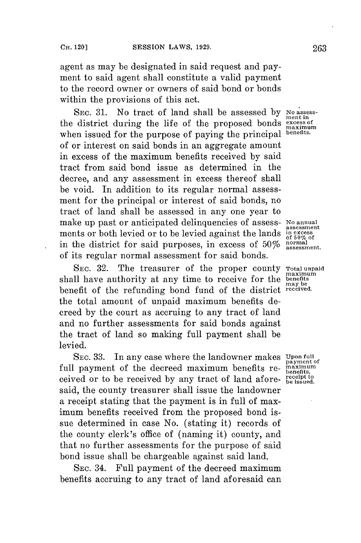agent as may be designated in said request and payment to said agent shall constitute a valid payment to the record owner or owners of said bond or bonds within the provisions of this act.

**SEC. 31.** No tract of land shall be assessed **by No assess- ment in** the district during the life of the proposed bonds **excess of**  $\text{max}_{\text{max}_{\text{sum}_{\text{sum}}}$ when issued for the purpose of paying the principal **benefits**. of or interest on said bonds in an aggregate amount in excess of the maximum benefits received **by** said tract from said bond issue as determined in the decree, and any assessment in excess thereof shall be void. In addition to its regular normal assessment for the principal or interest of said bonds, no tract of land shall be assessed in any one year to make up past or anticipated delinquencies of assess- No annual ments or both levied or to be levied against the lands in excess **of 50%** of in the district for said purposes, in excess of **50% normal assessment.** of its regular normal assessment for said bonds.

**SEC. 32.** The treasurer of the proper county **Total unpaid** shall have authority at any time to receive for the benefit of the refunding bond fund of the district **received.** the total amount of unpaid maximum benefits decreed **by** the court as accruing to any tract of land and no further assessments for said bonds against the tract of land so making full payment shall be levied.

**SEC. 33.** In any case where the landowner makes **Upon full** full payment of the decreed maximum benefits received or to be received **by** any tract of land afore- **receit** said, the county treasurer shall issue the landowner a receipt stating that the payment is in full of maximum benefits received from the proposed bond issue determined in case No. (stating it) records of the county clerk's office of (naming it) county, and that no further assessments for the purpose of said bond issue shall be chargeable against said land.

**SEC.** 34. Full payment of the decreed maximum benefits accruing to any tract of land aforesaid can

**maximum may be**

**payment of**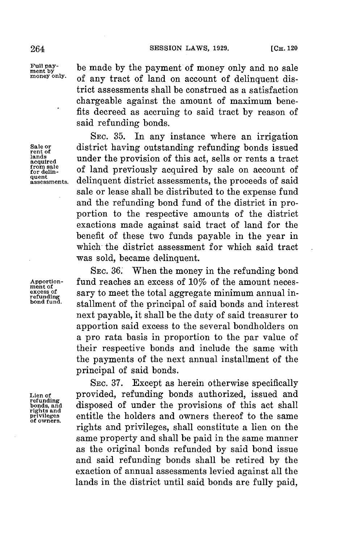Full pay-<br>ment by **be made by the payment of money only and no sale**<br>money only. of our tract of land an account of delinguant disof any tract of land on account of delinquent district assessments shall be construed as a satisfaction chargeable against the amount of maximum benefits decreed as accruing to said tract **by** reason of said refunding bonds.

**SEc. 35.** In any instance where an irrigation **Sale or** district having outstanding refunding bonds issued rent of this equal of this equal or next of the lands  $\frac{\text{lands}}{\text{acquired}}$  under the provision of this act, sells or rents a tract **frm sale** of land previously acquired **by** sale on account of **assessments.** delinquent district assessments, the proceeds of said sale or lease shall be distributed to the expense fund and the refunding bond fund of the district in proportion to the respective amounts of the district exactions made against said tract of land for the benefit of these two funds payable in the year in which the district assessment for which said tract was sold, became delinquent.

**SEc. 36.** When the money in the refunding bond Apportion-<br> **Apportion- fund reaches an excess of 10% of the amount neces**-<br> **excess of sary to meet the total aggregate minimum annual in-**<br> **pond fund atallment of the principal of said bands and interact** stallment of the principal of said bonds and interest next payable, it shall be the duty of said treasurer to apportion said excess to the several bondholders on a pro rata basis in proportion to the par value of their respective bonds and include the same with the payments of the next annual installment of the principal of said bonds.

**SEC. 37.** Except as herein otherwise specifically **Lien of** provided, refunding bonds authorized, issued and disposed of under the provisions of this act shall **privileges** entitle the holders and owners thereof to the same **of owners.** rights and privileges, shall constitute a lien on the same property and shall be paid in the same manner as the original bonds refunded **by** said bond issue and said refunding bonds shall be retired **by** the exaction of annual assessments levied against all the lands in the district until said bonds are fully paid,

**refunding rights and**